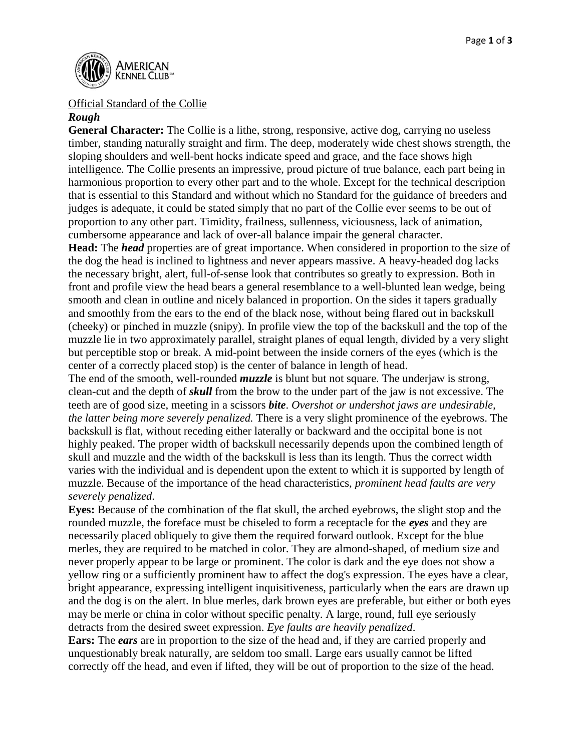

## Official Standard of the Collie *Rough*

**General Character:** The Collie is a lithe, strong, responsive, active dog, carrying no useless timber, standing naturally straight and firm. The deep, moderately wide chest shows strength, the sloping shoulders and well-bent hocks indicate speed and grace, and the face shows high intelligence. The Collie presents an impressive, proud picture of true balance, each part being in harmonious proportion to every other part and to the whole. Except for the technical description that is essential to this Standard and without which no Standard for the guidance of breeders and judges is adequate, it could be stated simply that no part of the Collie ever seems to be out of proportion to any other part. Timidity, frailness, sullenness, viciousness, lack of animation, cumbersome appearance and lack of over-all balance impair the general character.

**Head:** The *head* properties are of great importance. When considered in proportion to the size of the dog the head is inclined to lightness and never appears massive. A heavy-headed dog lacks the necessary bright, alert, full-of-sense look that contributes so greatly to expression. Both in front and profile view the head bears a general resemblance to a well-blunted lean wedge, being smooth and clean in outline and nicely balanced in proportion. On the sides it tapers gradually and smoothly from the ears to the end of the black nose, without being flared out in backskull (cheeky) or pinched in muzzle (snipy). In profile view the top of the backskull and the top of the muzzle lie in two approximately parallel, straight planes of equal length, divided by a very slight but perceptible stop or break. A mid-point between the inside corners of the eyes (which is the center of a correctly placed stop) is the center of balance in length of head.

The end of the smooth, well-rounded *muzzle* is blunt but not square. The underjaw is strong, clean-cut and the depth of *skull* from the brow to the under part of the jaw is not excessive. The teeth are of good size, meeting in a scissors *bite*. *Overshot or undershot jaws are undesirable, the latter being more severely penalized.* There is a very slight prominence of the eyebrows. The backskull is flat, without receding either laterally or backward and the occipital bone is not highly peaked. The proper width of backskull necessarily depends upon the combined length of skull and muzzle and the width of the backskull is less than its length. Thus the correct width varies with the individual and is dependent upon the extent to which it is supported by length of muzzle. Because of the importance of the head characteristics, *prominent head faults are very severely penalized*.

**Eyes:** Because of the combination of the flat skull, the arched eyebrows, the slight stop and the rounded muzzle, the foreface must be chiseled to form a receptacle for the *eyes* and they are necessarily placed obliquely to give them the required forward outlook. Except for the blue merles, they are required to be matched in color. They are almond-shaped, of medium size and never properly appear to be large or prominent. The color is dark and the eye does not show a yellow ring or a sufficiently prominent haw to affect the dog's expression. The eyes have a clear, bright appearance, expressing intelligent inquisitiveness, particularly when the ears are drawn up and the dog is on the alert. In blue merles, dark brown eyes are preferable, but either or both eyes may be merle or china in color without specific penalty. A large, round, full eye seriously detracts from the desired sweet expression. *Eye faults are heavily penalized*.

**Ears:** The *ears* are in proportion to the size of the head and, if they are carried properly and unquestionably break naturally, are seldom too small. Large ears usually cannot be lifted correctly off the head, and even if lifted, they will be out of proportion to the size of the head.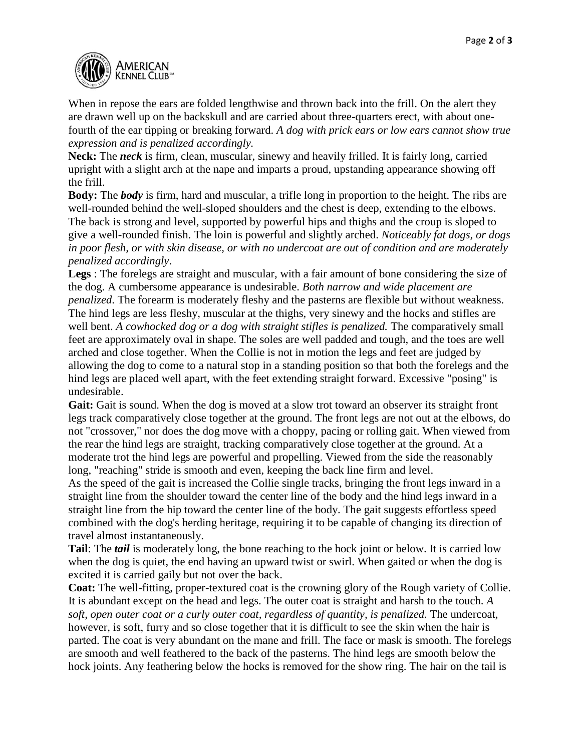

When in repose the ears are folded lengthwise and thrown back into the frill. On the alert they are drawn well up on the backskull and are carried about three-quarters erect, with about onefourth of the ear tipping or breaking forward. *A dog with prick ears or low ears cannot show true expression and is penalized accordingly.*

**Neck:** The *neck* is firm, clean, muscular, sinewy and heavily frilled. It is fairly long, carried upright with a slight arch at the nape and imparts a proud, upstanding appearance showing off the frill.

**Body:** The *body* is firm, hard and muscular, a trifle long in proportion to the height. The ribs are well-rounded behind the well-sloped shoulders and the chest is deep, extending to the elbows. The back is strong and level, supported by powerful hips and thighs and the croup is sloped to give a well-rounded finish. The loin is powerful and slightly arched. *Noticeably fat dogs, or dogs in poor flesh, or with skin disease, or with no undercoat are out of condition and are moderately penalized accordingly*.

**Legs** : The forelegs are straight and muscular, with a fair amount of bone considering the size of the dog. A cumbersome appearance is undesirable. *Both narrow and wide placement are penalized*. The forearm is moderately fleshy and the pasterns are flexible but without weakness. The hind legs are less fleshy, muscular at the thighs, very sinewy and the hocks and stifles are well bent. *A cowhocked dog or a dog with straight stifles is penalized.* The comparatively small feet are approximately oval in shape. The soles are well padded and tough, and the toes are well arched and close together. When the Collie is not in motion the legs and feet are judged by allowing the dog to come to a natural stop in a standing position so that both the forelegs and the hind legs are placed well apart, with the feet extending straight forward. Excessive "posing" is undesirable.

Gait: Gait is sound. When the dog is moved at a slow trot toward an observer its straight front legs track comparatively close together at the ground. The front legs are not out at the elbows, do not "crossover," nor does the dog move with a choppy, pacing or rolling gait. When viewed from the rear the hind legs are straight, tracking comparatively close together at the ground. At a moderate trot the hind legs are powerful and propelling. Viewed from the side the reasonably long, "reaching" stride is smooth and even, keeping the back line firm and level.

As the speed of the gait is increased the Collie single tracks, bringing the front legs inward in a straight line from the shoulder toward the center line of the body and the hind legs inward in a straight line from the hip toward the center line of the body. The gait suggests effortless speed combined with the dog's herding heritage, requiring it to be capable of changing its direction of travel almost instantaneously.

**Tail**: The *tail* is moderately long, the bone reaching to the hock joint or below. It is carried low when the dog is quiet, the end having an upward twist or swirl. When gaited or when the dog is excited it is carried gaily but not over the back.

**Coat:** The well-fitting, proper-textured coat is the crowning glory of the Rough variety of Collie. It is abundant except on the head and legs. The outer coat is straight and harsh to the touch. *A soft, open outer coat or a curly outer coat, regardless of quantity, is penalized.* The undercoat, however, is soft, furry and so close together that it is difficult to see the skin when the hair is parted. The coat is very abundant on the mane and frill. The face or mask is smooth. The forelegs are smooth and well feathered to the back of the pasterns. The hind legs are smooth below the hock joints. Any feathering below the hocks is removed for the show ring. The hair on the tail is